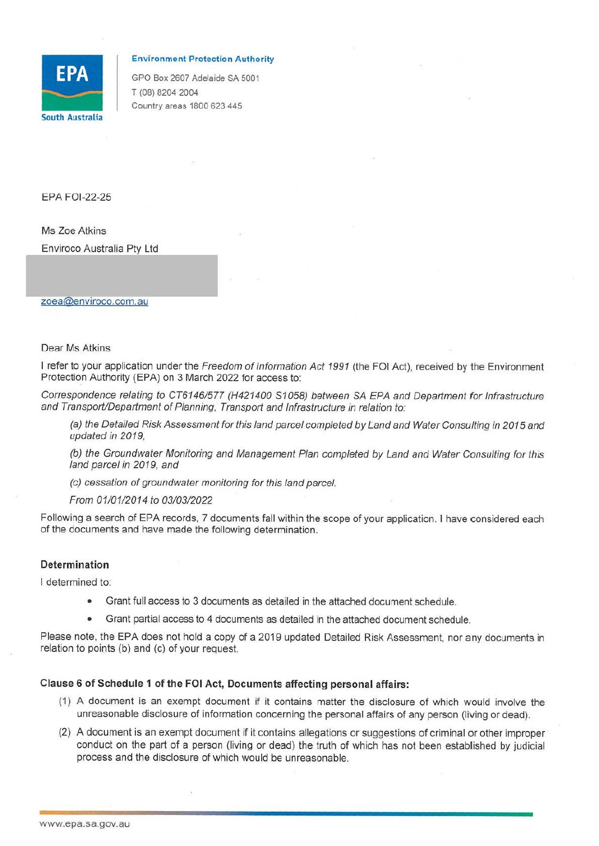

#### **Environment Protection Authority**

GPO Box 2607 Adelaide SA 5001<br>
T (08) 8204 2004<br>
Country areas 1800 623 445<br>
South Australia T (08) 8204 2004 Country areas 1800 623 445

EPA FOl-22-25

Ms Zoe Atkins

Enviroco Australia Pty Ltd

#### zoea@enviroco.com.au

### Dear Ms Atkins

I refer to your application under the Freedom of Information Act 1991 (the FOI Act), received by the Environment Protection Authority (EPA) on 3 March 2022 for access to:

Correspondence relating to CT6146/577 (H421400 S1058) between SA EPA and Department for Infrastructure and Transport/Department of Planning, Transport and Infrastructure in relation to:

(a) the Detailed Risk Assessment for this land parcel completed by Land and Water Consulting in 2015 and updated in 2019,

(b) the Groundwater Monitoring and Management Plan completed by Land and Water Consulting for this land parcel in 2019, and

(c) cessation of groundwater monitoring for this land parcel.

From 01/01/2014 to 03/03/2022

Following a search of EPA records, 7 documents fall within the scope of your application. I have considered each of the documents and have made the following determination.

## **Determination**

I determined to:

- Grant full access to 3 documents as detailed in the attached document schedule.
- Grant partial access to 4 documents as detailed in the attached document schedule.

Please note, the EPA does not hold a copy of a 2019 updated Detailed Risk Assessment, nor any documents in relation to points (b) and (c) of your request.

# **Clause 6 of Schedule 1 of the FOi Act, Documents affecting personal affairs:**

- (1) A document is an exempt document if it contains matter the disclosure of which would involve the unreasonable disclosure of information concerning the personal affairs of any person (living or dead).
- (2) A document is an exempt document if it contains allegations or suggestions of criminal or other improper conduct on the part of a person (living or dead) the truth of which has not been established by judicial process and the disclosure of which would be unreasonable.